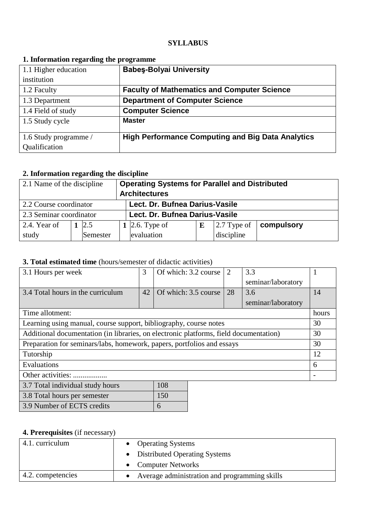### **SYLLABUS**

| -                     |                                                          |
|-----------------------|----------------------------------------------------------|
| 1.1 Higher education  | <b>Babes-Bolyai University</b>                           |
| institution           |                                                          |
| 1.2 Faculty           | <b>Faculty of Mathematics and Computer Science</b>       |
| 1.3 Department        | <b>Department of Computer Science</b>                    |
| 1.4 Field of study    | <b>Computer Science</b>                                  |
| 1.5 Study cycle       | <b>Master</b>                                            |
|                       |                                                          |
| 1.6 Study programme / | <b>High Performance Computing and Big Data Analytics</b> |
| Qualification         |                                                          |

### **1. Information regarding the programme**

# **2. Information regarding the discipline**

| 2.1 Name of the discipline |  |            | <b>Operating Systems for Parallel and Distributed</b><br><b>Architectures</b> |                                |   |                     |            |  |
|----------------------------|--|------------|-------------------------------------------------------------------------------|--------------------------------|---|---------------------|------------|--|
| 2.2 Course coordinator     |  |            |                                                                               | Lect. Dr. Bufnea Darius-Vasile |   |                     |            |  |
| 2.3 Seminar coordinator    |  |            |                                                                               | Lect. Dr. Bufnea Darius-Vasile |   |                     |            |  |
| 2.4. Year of               |  | $1 \, 2.5$ |                                                                               | 1 2.6. Type of                 | E | $\vert$ 2.7 Type of | compulsory |  |
| study                      |  | Semester   |                                                                               | evaluation                     |   | discipline          |            |  |

# **3. Total estimated time** (hours/semester of didactic activities)

| 3.1 Hours per week                                                                    | 3  | Of which: 3.2 course | $\overline{2}$ | 3.3                |       |
|---------------------------------------------------------------------------------------|----|----------------------|----------------|--------------------|-------|
|                                                                                       |    |                      |                | seminar/laboratory |       |
| 3.4 Total hours in the curriculum                                                     | 42 | Of which: 3.5 course | 28             | 3.6                | 14    |
|                                                                                       |    |                      |                | seminar/laboratory |       |
| Time allotment:                                                                       |    |                      |                |                    | hours |
| Learning using manual, course support, bibliography, course notes                     |    |                      |                |                    | 30    |
| Additional documentation (in libraries, on electronic platforms, field documentation) |    |                      |                |                    |       |
| Preparation for seminars/labs, homework, papers, portfolios and essays                |    |                      |                |                    |       |
| Tutorship                                                                             |    |                      |                |                    |       |
| Evaluations                                                                           |    |                      |                |                    |       |
| Other activities:                                                                     |    |                      |                |                    |       |
| 108<br>3.7 Total individual study hours                                               |    |                      |                |                    |       |
| 150<br>3.8 Total hours per semester                                                   |    |                      |                |                    |       |
| 3.9 Number of ECTS credits<br>6                                                       |    |                      |                |                    |       |

## **4. Prerequisites** (if necessary)

| 4.1. curriculum   | • Operating Systems                             |
|-------------------|-------------------------------------------------|
|                   | • Distributed Operating Systems                 |
|                   | • Computer Networks                             |
| 4.2. competencies | • Average administration and programming skills |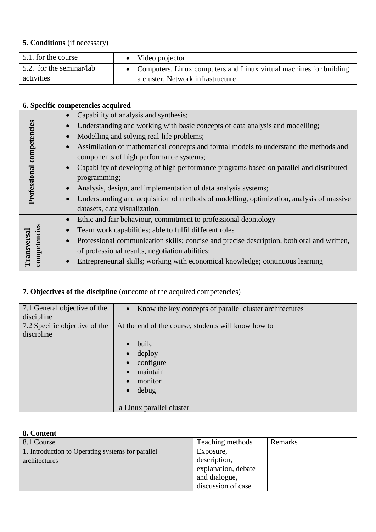# **5. Conditions** (if necessary)

| 5.1. for the course      | Video projector                                                      |
|--------------------------|----------------------------------------------------------------------|
| 5.2. for the seminar/lab | • Computers, Linux computers and Linux virtual machines for building |
| activities               | a cluster, Network infrastructure                                    |

# **6. Specific competencies acquired**

|                           |           | Capability of analysis and synthesis;                                                      |
|---------------------------|-----------|--------------------------------------------------------------------------------------------|
|                           |           | Understanding and working with basic concepts of data analysis and modelling;              |
|                           |           | Modelling and solving real-life problems;                                                  |
| Professional competencies |           | Assimilation of mathematical concepts and formal models to understand the methods and      |
|                           |           | components of high performance systems;                                                    |
|                           | $\bullet$ | Capability of developing of high performance programs based on parallel and distributed    |
|                           |           | programming;                                                                               |
|                           |           | Analysis, design, and implementation of data analysis systems;                             |
|                           |           | Understanding and acquisition of methods of modelling, optimization, analysis of massive   |
|                           |           | datasets, data visualization.                                                              |
|                           | $\bullet$ | Ethic and fair behaviour, commitment to professional deontology                            |
|                           |           | Team work capabilities; able to fulfil different roles                                     |
| competencies              | $\bullet$ | Professional communication skills; concise and precise description, both oral and written, |
|                           |           | of professional results, negotiation abilities;                                            |
| Transversa                |           | Entrepreneurial skills; working with economical knowledge; continuous learning             |

# **7. Objectives of the discipline** (outcome of the acquired competencies)

| 7.1 General objective of the  | • Know the key concepts of parallel cluster architectures                        |
|-------------------------------|----------------------------------------------------------------------------------|
| discipline                    |                                                                                  |
| 7.2 Specific objective of the | At the end of the course, students will know how to                              |
| discipline                    |                                                                                  |
|                               | build                                                                            |
|                               |                                                                                  |
|                               |                                                                                  |
|                               | maintain                                                                         |
|                               |                                                                                  |
|                               |                                                                                  |
|                               |                                                                                  |
|                               |                                                                                  |
|                               | deploy<br>configure<br>monitor<br>debug<br>$\bullet$<br>a Linux parallel cluster |

# **8. Content**

| 8.1 Course                                        | Teaching methods    | Remarks |
|---------------------------------------------------|---------------------|---------|
| 1. Introduction to Operating systems for parallel | Exposure,           |         |
| architectures                                     | description,        |         |
|                                                   | explanation, debate |         |
|                                                   | and dialogue,       |         |
|                                                   | discussion of case  |         |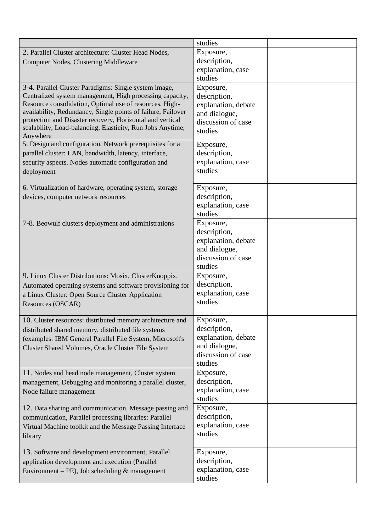|                                                              | studies             |  |
|--------------------------------------------------------------|---------------------|--|
| 2. Parallel Cluster architecture: Cluster Head Nodes,        | Exposure,           |  |
| <b>Computer Nodes, Clustering Middleware</b>                 | description,        |  |
|                                                              | explanation, case   |  |
|                                                              | studies             |  |
| 3-4. Parallel Cluster Paradigms: Single system image,        | Exposure,           |  |
| Centralized system management, High processing capacity,     | description,        |  |
| Resource consolidation, Optimal use of resources, High-      | explanation, debate |  |
| availability, Redundancy, Single points of failure, Failover | and dialogue,       |  |
| protection and Disaster recovery, Horizontal and vertical    | discussion of case  |  |
| scalability, Load-balancing, Elasticity, Run Jobs Anytime,   | studies             |  |
| Anywhere                                                     |                     |  |
| 5. Design and configuration. Network prerequisites for a     | Exposure,           |  |
| parallel cluster: LAN, bandwidth, latency, interface,        | description,        |  |
| security aspects. Nodes automatic configuration and          | explanation, case   |  |
| deployment                                                   | studies             |  |
|                                                              |                     |  |
| 6. Virtualization of hardware, operating system, storage     | Exposure,           |  |
| devices, computer network resources                          | description,        |  |
|                                                              | explanation, case   |  |
|                                                              | studies             |  |
| 7-8. Beowulf clusters deployment and administrations         | Exposure,           |  |
|                                                              | description,        |  |
|                                                              | explanation, debate |  |
|                                                              | and dialogue,       |  |
|                                                              | discussion of case  |  |
|                                                              | studies             |  |
| 9. Linux Cluster Distributions: Mosix, Cluster Knoppix.      | Exposure,           |  |
| Automated operating systems and software provisioning for    | description,        |  |
| a Linux Cluster: Open Source Cluster Application             | explanation, case   |  |
| Resources (OSCAR)                                            | studies             |  |
|                                                              |                     |  |
| 10. Cluster resources: distributed memory architecture and   | Exposure,           |  |
| distributed shared memory, distributed file systems          | description,        |  |
| (examples: IBM General Parallel File System, Microsoft's     | explanation, debate |  |
| Cluster Shared Volumes, Oracle Cluster File System           | and dialogue,       |  |
|                                                              | discussion of case  |  |
|                                                              | studies             |  |
| 11. Nodes and head node management, Cluster system           | Exposure,           |  |
| management, Debugging and monitoring a parallel cluster,     | description,        |  |
| Node failure management                                      | explanation, case   |  |
|                                                              | studies             |  |
| 12. Data sharing and communication, Message passing and      | Exposure,           |  |
| communication, Parallel processing libraries: Parallel       | description,        |  |
| Virtual Machine toolkit and the Message Passing Interface    | explanation, case   |  |
| library                                                      | studies             |  |
|                                                              |                     |  |
| 13. Software and development environment, Parallel           | Exposure,           |  |
| application development and execution (Parallel              | description,        |  |
| Environment – PE), Job scheduling $&$ management             | explanation, case   |  |
|                                                              | studies             |  |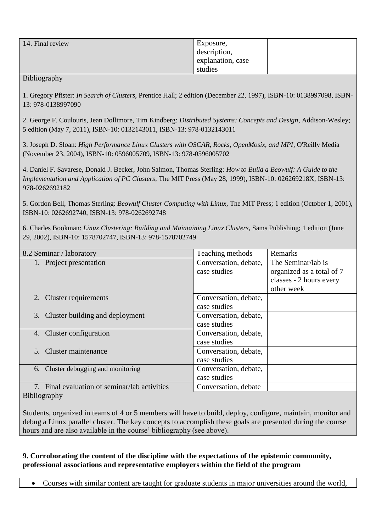| 14. Final review | Exposure,         |  |
|------------------|-------------------|--|
|                  | description,      |  |
|                  | explanation, case |  |
|                  | studies           |  |

#### Bibliography

1. Gregory Pfister: *In Search of Clusters*, Prentice Hall; 2 edition (December 22, 1997), ISBN-10: 0138997098, ISBN-13: 978-0138997090

2. George F. Coulouris, Jean Dollimore, Tim Kindberg: *Distributed Systems: Concepts and Design*, Addison-Wesley; 5 edition (May 7, 2011), ISBN-10: 0132143011, ISBN-13: 978-0132143011

3. Joseph D. Sloan: *High Performance Linux Clusters with OSCAR, Rocks, OpenMosix, and MPI*, O'Reilly Media (November 23, 2004), ISBN-10: 0596005709, ISBN-13: 978-0596005702

4. Daniel F. Savarese, Donald J. Becker, John Salmon, Thomas Sterling: *How to Build a Beowulf: A Guide to the Implementation and Application of PC Clusters*, The MIT Press (May 28, 1999), ISBN-10: 026269218X, ISBN-13: 978-0262692182

5. Gordon Bell, Thomas Sterling: *Beowulf Cluster Computing with Linux*, The MIT Press; 1 edition (October 1, 2001), ISBN-10: 0262692740, ISBN-13: 978-0262692748

6. Charles Bookman: *Linux Clustering: Building and Maintaining Linux Clusters*, Sams Publishing; 1 edition (June 29, 2002), ISBN-10: 1578702747, ISBN-13: 978-1578702749

| 8.2 Seminar / laboratory                      | Teaching methods      | Remarks                   |
|-----------------------------------------------|-----------------------|---------------------------|
| 1. Project presentation                       | Conversation, debate, | The Seminar/lab is        |
|                                               | case studies          | organized as a total of 7 |
|                                               |                       | classes - 2 hours every   |
|                                               |                       | other week                |
| 2. Cluster requirements                       | Conversation, debate, |                           |
|                                               | case studies          |                           |
| 3. Cluster building and deployment            | Conversation, debate, |                           |
|                                               | case studies          |                           |
| 4. Cluster configuration                      | Conversation, debate, |                           |
|                                               | case studies          |                           |
| 5. Cluster maintenance                        | Conversation, debate, |                           |
|                                               | case studies          |                           |
| 6. Cluster debugging and monitoring           | Conversation, debate, |                           |
|                                               | case studies          |                           |
| 7. Final evaluation of seminar/lab activities | Conversation, debate  |                           |
| $\mathbf{r}$                                  |                       |                           |

Bibliography

Students, organized in teams of 4 or 5 members will have to build, deploy, configure, maintain, monitor and debug a Linux parallel cluster. The key concepts to accomplish these goals are presented during the course hours and are also available in the course' bibliography (see above).

### **9. Corroborating the content of the discipline with the expectations of the epistemic community, professional associations and representative employers within the field of the program**

Courses with similar content are taught for graduate students in major universities around the world,